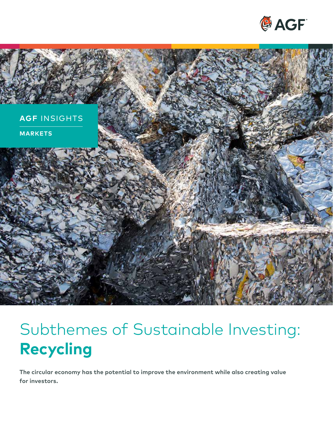



# Subthemes of Sustainable Investing: **Recycling**

**The circular economy has the potential to improve the environment while also creating value for investors.**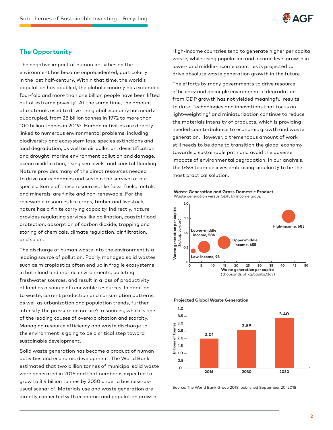

## **The Opportunity**

The negative impact of human activities on the environment has become unprecedented, particularly in the last half-century. Within that time, the world's population has doubled, the global economy has expanded four-fold and more than one billion people have been lifted out of extreme poverty<sup>1</sup>. At the same time, the amount of materials used to drive the global economy has nearly quadrupled, from 28 billion tonnes in 1972 to more than 100 billion tonnes in 20192. Human activities are directly linked to numerous environmental problems, including biodiversity and ecosystem loss, species extinctions and land degradation, as well as air pollution, desertification and drought, marine environment pollution and damage, ocean acidification, rising sea levels, and coastal flooding. Nature provides many of the direct resources needed to drive our economies and sustain the survival of our species. Some of these resources, like fossil fuels, metals and minerals, are finite and non-renewable. For the renewable resources like crops, timber and livestock, nature has a finite carrying capacity. Indirectly, nature provides regulating services like pollination, coastal flood protection, absorption of carbon dioxide, trapping and storing of chemicals, climate regulation, air filtration, and so on.

The discharge of human waste into the environment is a leading source of pollution. Poorly managed solid wastes such as microplastics often end up in fragile ecosystems in both land and marine environments, polluting freshwater sources, and result in a loss of productivity of land as a source of renewable resources. In addition to waste, current production and consumption patterns, as well as urbanization and population trends, further intensify the pressure on nature's resources, which is one of the leading causes of overexploitation and scarcity. Managing resource efficiency and waste discharge to the environment is going to be a critical step toward sustainable development.

Solid waste generation has become a product of human activities and economic development. The World Bank estimated that two billion tonnes of municipal solid waste were generated in 2016 and that number is expected to grow to 3.4 billion tonnes by 2050 under a business-asusual scenario<sup>3</sup>. Materials use and waste generation are directly connected with economic and population growth.

High-income countries tend to generate higher per capita waste, while rising population and income level growth in lower- and middle-income countries is projected to drive absolute waste generation growth in the future.

The efforts by many governments to drive resource efficiency and decouple environmental degradation from GDP growth has not yielded meaningful results to date. Technologies and innovations that focus on light-weighting4 and miniaturization continue to reduce the materials intensity of products, which is providing needed counterbalance to economic growth and waste generation. However, a tremendous amount of work still needs to be done to transition the global economy towards a sustainable path and avoid the adverse impacts of environmental degradation. In our analysis, the GSG team believes embracing circularity to be the most practical solution.







**Projected Global Waste Generation**

Source: The World Bank Group 2018, published September 20, 2018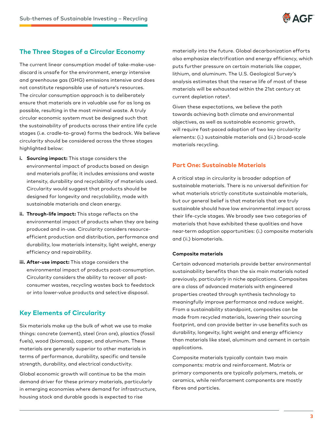

## **The Three Stages of a Circular Economy**

The current linear consumption model of take-make-usediscard is unsafe for the environment, energy intensive and greenhouse gas (GHG) emissions intensive and does not constitute responsible use of nature's resources. The circular consumption approach is to deliberately ensure that materials are in valuable use for as long as possible, resulting in the most minimal waste. A truly circular economic system must be designed such that the sustainability of products across their entire life cycle stages (i.e. cradle-to-grave) forms the bedrock. We believe circularity should be considered across the three stages highlighted below:

- **i. Sourcing impact:** This stage considers the environmental impact of products based on design and materials profile; it includes emissions and waste intensity, durability and recyclability of materials used. Circularity would suggest that products should be designed for longevity and recyclability, made with sustainable materials and clean energy.
- **ii. Through-life impact:** This stage reflects on the environmental impact of products when they are being produced and in-use. Circularity considers resourceefficient production and distribution, performance and durability, low materials intensity, light weight, energy efficiency and repairability.
- **iii. After-use impact:** This stage considers the environmental impact of products post-consumption. Circularity considers the ability to recover all postconsumer wastes, recycling wastes back to feedstock or into lower-value products and selective disposal.

## **Key Elements of Circularity**

Six materials make up the bulk of what we use to make things: concrete (cement), steel (iron ore), plastics (fossil fuels), wood (biomass), copper, and aluminum. These materials are generally superior to other materials in terms of performance, durability, specific and tensile strength, durability, and electrical conductivity.

Global economic growth will continue to be the main demand driver for these primary materials, particularly in emerging economies where demand for infrastructure, housing stock and durable goods is expected to rise

materially into the future. Global decarbonization efforts also emphasize electrification and energy efficiency, which puts further pressure on certain materials like copper, lithium, and aluminum. The U.S. Geological Survey's analysis estimates that the reserve life of most of these materials will be exhausted within the 21st century at current depletion rates<sup>5</sup>.

Given these expectations, we believe the path towards achieving both climate and environmental objectives, as well as sustainable economic growth, will require fast-paced adoption of two key circularity elements: (i.) sustainable materials and (ii.) broad-scale materials recycling.

### **Part One: Sustainable Materials**

A critical step in circularity is broader adoption of sustainable materials. There is no universal definition for what materials strictly constitute sustainable materials, but our general belief is that materials that are truly sustainable should have low environmental impact across their life-cycle stages. We broadly see two categories of materials that have exhibited these qualities and have near-term adoption opportunities: (i.) composite materials and (ii.) biomaterials.

#### **Composite materials**

Certain advanced materials provide better environmental sustainability benefits than the six main materials noted previously, particularly in niche applications. Composites are a class of advanced materials with engineered properties created through synthesis technology to meaningfully improve performance and reduce weight. From a sustainability standpoint, composites can be made from recycled materials, lowering their sourcing footprint, and can provide better in-use benefits such as durability, longevity, light weight and energy efficiency than materials like steel, aluminum and cement in certain applications.

Composite materials typically contain two main components: matrix and reinforcement. Matrix or primary components are typically polymers, metals, or ceramics, while reinforcement components are mostly fibres and particles.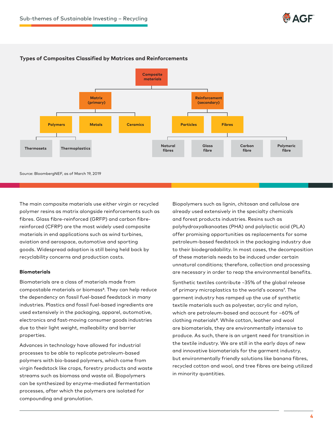



#### **Types of Composites Classified by Matrices and Reinforcements**

Source: BloombergNEF, as of March 19, 2019

The main composite materials use either virgin or recycled polymer resins as matrix alongside reinforcements such as fibres. Glass fibre-reinforced (GRFP) and carbon fibrereinforced (CFRP) are the most widely used composite materials in end applications such as wind turbines, aviation and aerospace, automotive and sporting goods. Widespread adoption is still being held back by recyclability concerns and production costs.

#### **Biomaterials**

Biomaterials are a class of materials made from compostable materials or biomass<sup>6</sup>. They can help reduce the dependency on fossil fuel-based feedstock in many industries. Plastics and fossil fuel-based ingredients are used extensively in the packaging, apparel, automotive, electronics and fast-moving consumer goods industries due to their light weight, malleability and barrier properties.

Advances in technology have allowed for industrial processes to be able to replicate petroleum-based polymers with bio-based polymers, which come from virgin feedstock like crops, forestry products and waste streams such as biomass and waste oil. Biopolymers can be synthesized by enzyme-mediated fermentation processes, after which the polymers are isolated for compounding and granulation.

Biopolymers such as lignin, chitosan and cellulose are already used extensively in the specialty chemicals and forest products industries. Resins such as polyhydroxyalkanoates (PHA) and polylactic acid (PLA) offer promising opportunities as replacements for some petroleum-based feedstock in the packaging industry due to their biodegradability. In most cases, the decomposition of these materials needs to be induced under certain unnatural conditions; therefore, collection and processing are necessary in order to reap the environmental benefits.

Synthetic textiles contribute ~35% of the global release of primary microplastics to the world's oceans<sup>7</sup>. The garment industry has ramped up the use of synthetic textile materials such as polyester, acrylic and nylon, which are petroleum-based and account for ~60% of clothing materials<sup>8</sup>. While cotton, leather and wool are biomaterials, they are environmentally intensive to produce. As such, there is an urgent need for transition in the textile industry. We are still in the early days of new and innovative biomaterials for the garment industry, but environmentally friendly solutions like banana fibres, recycled cotton and wool, and tree fibres are being utilized in minority quantities.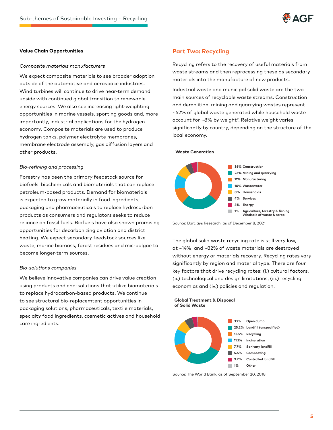

#### **Value Chain Opportunities**

#### *Composite materials manufacturers*

We expect composite materials to see broader adoption outside of the automotive and aerospace industries. Wind turbines will continue to drive near-term demand upside with continued global transition to renewable energy sources. We also see increasing light-weighting opportunities in marine vessels, sporting goods and, more importantly, industrial applications for the hydrogen economy. Composite materials are used to produce hydrogen tanks, polymer electrolyte membranes, membrane electrode assembly, gas diffusion layers and other products.

#### *Bio-refining and processing*

Forestry has been the primary feedstock source for biofuels, biochemicals and biomaterials that can replace petroleum-based products. Demand for biomaterials is expected to grow materially in food ingredients, packaging and pharmaceuticals to replace hydrocarbon products as consumers and regulators seeks to reduce reliance on fossil fuels. Biofuels have also shown promising opportunities for decarbonizing aviation and district heating. We expect secondary feedstock sources like waste, marine biomass, forest residues and microalgae to become longer-term sources.

#### *Bio-solutions companies*

We believe innovative companies can drive value creation using products and end-solutions that utilize biomaterials to replace hydrocarbon-based products. We continue to see structural bio-replacemtent opportunities in packaging solutions, pharmaceuticals, textile materials, specialty food ingredients, cosmetic actives and household care ingredients.

#### **Part Two: Recycling**

**Waste Generation**

Recycling refers to the recovery of useful materials from waste streams and then reprocessing these as secondary materials into the manufacture of new products.

Industrial waste and municipal solid waste are the two main sources of recyclable waste streams. Construction and demolition, mining and quarrying wastes represent ~62% of global waste generated while household waste account for ~8% by weight<sup>9</sup>. Relative weight varies significantly by country, depending on the structure of the local economy.



Source: Barclays Research, as of December 8, 2021

The global solid waste recycling rate is still very low, at ~14%, and ~82% of waste materials are destroyed without energy or materials recovery. Recycling rates vary significantly by region and material type. There are four key factors that drive recycling rates: (i.) cultural factors, (ii.) technological and design limitations, (iii.) recycling economics and (iv.) policies and regulation.

**1% Other**



Source: The World Bank, as of September 20, 2018

**Tara**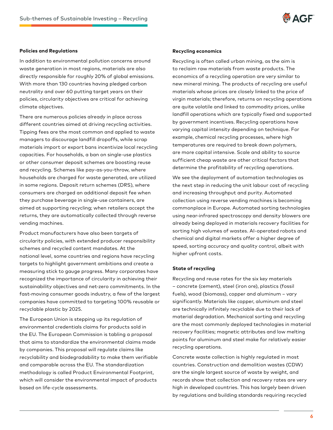

#### **Policies and Regulations**

In addition to environmental pollution concerns around waste generation in most regions, materials are also directly responsible for roughly 20% of global emissions. With more than 130 countries having pledged carbon neutrality and over 60 putting target years on their policies, circularity objectives are critical for achieving climate objectives.

There are numerous policies already in place across different countries aimed at driving recycling activities. Tipping fees are the most common and applied to waste managers to discourage landfill dropoffs, while scrap materials import or export bans incentivize local recycling capacities. For households, a ban on single-use plastics or other consumer deposit schemes are boosting reuse and recycling. Schemes like pay-as-you-throw, where households are charged for waste generated, are utilized in some regions. Deposit return schemes (DRS), where consumers are charged an additional deposit fee when they purchase beverage in single-use containers, are aimed at supporting recycling; when retailers accept the returns, they are automatically collected through reverse vending machines.

Product manufacturers have also been targets of circularity policies, with extended producer responsibility schemes and recycled content mandates. At the national level, some countries and regions have recycling targets to highlight government ambitions and create a measuring stick to gauge progress. Many corporates have recognized the importance of circularity in achieving their sustainability objectives and net-zero commitments. In the fast-moving consumer goods industry, a few of the largest companies have committed to targeting 100% reusable or recyclable plastic by 2025.

The European Union is stepping up its regulation of environmental credentials claims for products sold in the EU. The European Commission is tabling a proposal that aims to standardize the environmental claims made by companies. This proposal will regulate claims like recyclability and biodegradability to make them verifiable and comparable across the EU. The standardization methodology is called Product Environmental Footprint, which will consider the environmental impact of products based on life-cycle assessments.

#### **Recycling economics**

Recycling is often called urban mining, as the aim is to reclaim raw materials from waste products. The economics of a recycling operation are very similar to new mineral mining. The products of recycling are useful materials whose prices are closely linked to the price of virgin materials; therefore, returns on recycling operations are quite volatile and linked to commodity prices, unlike landfill operations which are typically fixed and supported by government incentives. Recycling operations have varying capital intensity depending on technique. For example, chemical recycling processes, where high temperatures are required to break down polymers, are more capital intensive. Scale and ability to source sufficient cheap waste are other critical factors that determine the profitability of recycling operations.

We see the deployment of automation technologies as the next step in reducing the unit labour cost of recycling and increasing throughput and purity. Automated collection using reverse vending machines is becoming commonplace in Europe. Automated sorting technologies using near-infrared spectroscopy and density blowers are already being deployed in materials recovery facilities for sorting high volumes of wastes. AI-operated robots and chemical and digital markets offer a higher degree of speed, sorting accuracy and quality control, albeit with higher upfront costs.

#### **State of recycling**

Recycling and reuse rates for the six key materials – concrete (cement), steel (iron ore), plastics (fossil fuels), wood (biomass), copper and aluminum – vary significantly. Materials like copper, aluminum and steel are technically infinitely recyclable due to their lack of material degradation. Mechanical sorting and recycling are the most commonly deployed technologies in material recovery facilities; magnetic attributes and low melting points for aluminum and steel make for relatively easier recycling operations.

Concrete waste collection is highly regulated in most countries. Construction and demolition wastes (CDW) are the single largest source of waste by weight, and records show that collection and recovery rates are very high in developed countries. This has largely been driven by regulations and building standards requiring recycled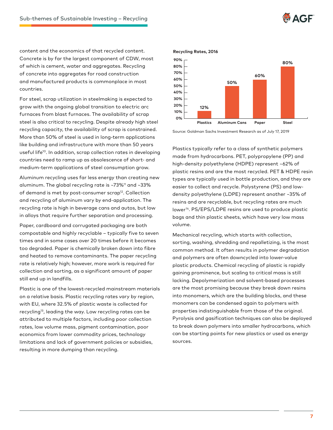

content and the economics of that recycled content. Concrete is by far the largest component of CDW, most of which is cement, water and aggregates. Recycling of concrete into aggregates for road construction and manufactured products is commonplace in most countries.

For steel, scrap utilization in steelmaking is expected to grow with the ongoing global transition to electric arc furnaces from blast furnaces. The availability of scrap steel is also critical to recycling. Despite already high steel recycling capacity, the availability of scrap is constrained. More than 50% of steel is used in long-term applications like building and infrastructure with more than 50 years useful life<sup>10</sup>. In addition, scrap collection rates in developing countries need to ramp up as obsolescence of short- and medium-term applications of steel consumption grow.

Aluminum recycling uses far less energy than creating new aluminum. The global recycling rate is ~73%11 and ~33% of demand is met by post-consumer scrap<sup>12</sup>. Collection and recycling of aluminum vary by end-application. The recycling rate is high in beverage cans and autos, but low in alloys that require further separation and processing.

Paper, cardboard and corrugated packaging are both compostable and highly recyclable – typically five to seven times and in some cases over 20 times before it becomes too degraded. Paper is chemically broken down into fibre and heated to remove contaminants. The paper recycling rate is relatively high; however, more work is required for collection and sorting, as a significant amount of paper still end up in landfills.

Plastic is one of the lowest-recycled mainstream materials on a relative basis. Plastic recycling rates vary by region, with EU, where 32.5% of plastic waste is collected for recycling13, leading the way. Low recycling rates can be attributed to multiple factors, including poor collection rates, low volume mass, pigment contamination, poor economics from lower commodity prices, technology limitations and lack of government policies or subsidies, resulting in more dumping than recycling.



Source: Goldman Sachs Investment Research as of July 17, 2019

Plastics typically refer to a class of synthetic polymers made from hydrocarbons. PET, polypropylene (PP) and high-density polyethylene (HDPE) represent ~62% of plastic resins and are the most recycled. PET & HDPE resin types are typically used in bottle production, and they are easier to collect and recycle. Polystyrene (PS) and lowdensity polyethylene (LDPE) represent another ~35% of resins and are recyclable, but recycling rates are much lower<sup>14</sup>. PS/EPS/LDPE resins are used to produce plastic bags and thin plastic sheets, which have very low mass volume.

Mechanical recycling, which starts with collection, sorting, washing, shredding and repalletizing, is the most common method. It often results in polymer degradation and polymers are often downcycled into lower-value plastic products. Chemical recycling of plastic is rapidly gaining prominence, but scaling to critical mass is still lacking. Depolymerization and solvent-based processes are the most promising because they break down resins into monomers, which are the building blocks, and these monomers can be condensed again to polymers with properties indistinguishable from those of the original. Pyrolysis and gasification techniques can also be deployed to break down polymers into smaller hydrocarbons, which can be starting points for new plastics or used as energy sources.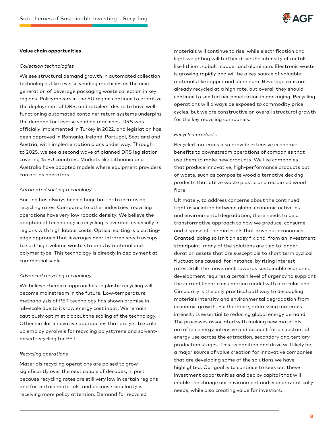

#### **Value chain opportunities**

#### *Collection technologies*

We see structural demand growth in automated collection technologies like reverse vending machines as the next generation of beverage packaging waste collection in key regions. Policymakers in the EU region continue to prioritize the deployment of DRS, and retailers' desire to have wellfunctioning automated container return systems underpins the demand for reverse vending machines. DRS was officially implemented in Turkey in 2022, and legislation has been approved in Romania, Ireland, Portugal, Scotland and Austria, with implementation plans under way. Through to 2025, we see a second wave of planned DRS legislation covering 15 EU countries. Markets like Lithuania and Australia have adopted models where equipment providers can act as operators.

#### *Automated sorting technology*

Sorting has always been a huge barrier to increasing recycling rates. Compared to other industries, recycling operations have very low robotic density. We believe the adoption of technology in recycling is overdue, especially in regions with high labour costs. Optical sorting is a cuttingedge approach that leverages near-infrared spectroscopy to sort high-volume waste streams by material and polymer type. This technology is already in deployment at commercial scale.

#### *Advanced recycling technology*

We believe chemical approaches to plastic recycling will become mainstream in the future. Low-temperature methanolysis of PET technology has shown promise in lab-scale due to its low energy cost input. We remain cautiously optimistic about the scaling of the technology. Other similar innovative approaches that are yet to scale up employ pyrolysis for recycling polystyrene and solventbased recycling for PET.

#### *Recycling operations*

Materials recycling operations are poised to grow significantly over the next couple of decades, in part because recycling rates are still very low in certain regions and for certain materials, and because circularity is receiving more policy attention. Demand for recycled

materials will continue to rise, while electrification and light-weighting will further drive the intensity of metals like lithium, cobalt, copper and aluminum. Electronic waste is growing rapidly and will be a key source of valuable materials like copper and aluminum. Beverage cans are already recycled at a high rate, but overall they should continue to see further penetration in packaging. Recycling operations will always be exposed to commodity price cycles, but we are constructive on overall structural growth for the key recycling companies.

#### *Recycled products*

Recycled materials also provide extensive economic benefits to downstream operations of companies that use them to make new products. We like companies that produce innovative, high-performance products out of waste, such as composite wood alternative decking products that utilize waste plastic and reclaimed wood fibre.

Ultimately, to address concerns about the continued tight association between global economic activities and environmental degradation, there needs to be a transformative approach to how we produce, consume and dispose of the materials that drive our economies. Granted, doing so isn't an easy fix and, from an investment standpoint, many of the solutions are tied to longerduration assets that are susceptible to short term cyclical fluctuations caused, for instance, by rising interest rates. Still, the movement towards sustainable economic development requires a certain level of urgency to supplant the current linear consumption model with a circular one. Circularity is the only practical pathway to decoupling materials intensity and environmental degradation from economic growth. Furthermore, addressing materials intensity is essential to reducing global energy demand. The processes associated with making new materials are often energy-intensive and account for a substantial energy use across the extraction, secondary and tertiary production stages. This recognition and drive will likely be a major source of value creation for innovative companies that are developing some of the solutions we have highlighted. Our goal is to continue to seek out these investment opportunities and deploy capital that will enable the change our environment and economy critically needs, while also creating value for investors.